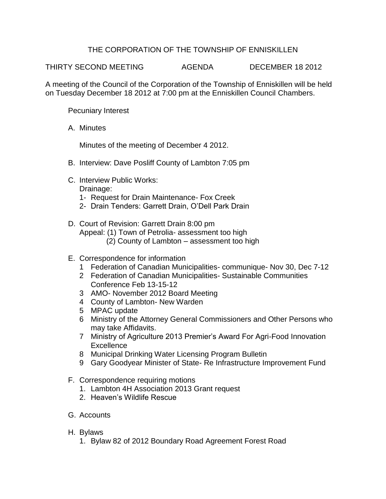## THE CORPORATION OF THE TOWNSHIP OF ENNISKILLEN

THIRTY SECOND MEETING AGENDA DECEMBER 18 2012

A meeting of the Council of the Corporation of the Township of Enniskillen will be held on Tuesday December 18 2012 at 7:00 pm at the Enniskillen Council Chambers.

Pecuniary Interest

A. Minutes

Minutes of the meeting of December 4 2012.

- B. Interview: Dave Posliff County of Lambton 7:05 pm
- C. Interview Public Works: Drainage:
	- 1- Request for Drain Maintenance- Fox Creek
	- 2- Drain Tenders: Garrett Drain, O'Dell Park Drain
- D. Court of Revision: Garrett Drain 8:00 pm Appeal: (1) Town of Petrolia- assessment too high (2) County of Lambton – assessment too high
- E. Correspondence for information
	- 1 Federation of Canadian Municipalities- communique- Nov 30, Dec 7-12
	- 2 Federation of Canadian Municipalities- Sustainable Communities Conference Feb 13-15-12
	- 3 AMO- November 2012 Board Meeting
	- 4 County of Lambton- New Warden
	- 5 MPAC update
	- 6 Ministry of the Attorney General Commissioners and Other Persons who may take Affidavits.
	- 7 Ministry of Agriculture 2013 Premier's Award For Agri-Food Innovation **Excellence**
	- 8 Municipal Drinking Water Licensing Program Bulletin
	- 9 Gary Goodyear Minister of State- Re Infrastructure Improvement Fund
- F. Correspondence requiring motions
	- 1. Lambton 4H Association 2013 Grant request
	- 2. Heaven's Wildlife Rescue
- G. Accounts
- H. Bylaws
	- 1. Bylaw 82 of 2012 Boundary Road Agreement Forest Road